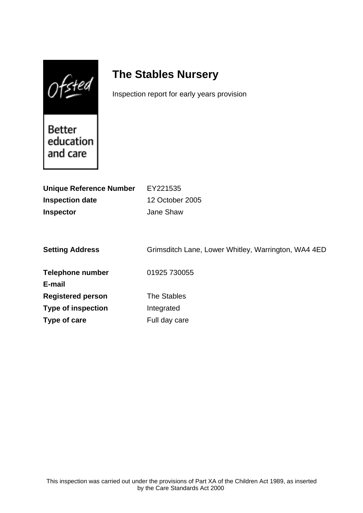$Of$ sted

# **The Stables Nursery**

Inspection report for early years provision

Better education and care

| <b>Unique Reference Number</b> | EY221535                                            |
|--------------------------------|-----------------------------------------------------|
| <b>Inspection date</b>         | 12 October 2005                                     |
| <b>Inspector</b>               | Jane Shaw                                           |
|                                |                                                     |
|                                |                                                     |
| <b>Setting Address</b>         | Grimsditch Lane, Lower Whitley, Warrington, WA4 4ED |
|                                |                                                     |
| <b>Telephone number</b>        | 01925 730055                                        |
| E-mail                         |                                                     |
| <b>Registered person</b>       | <b>The Stables</b>                                  |
| <b>Type of inspection</b>      | Integrated                                          |
| Type of care                   | Full day care                                       |
|                                |                                                     |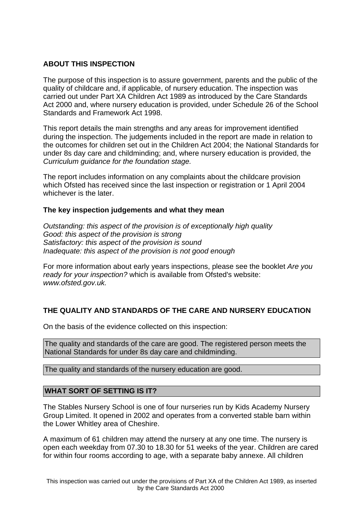## **ABOUT THIS INSPECTION**

The purpose of this inspection is to assure government, parents and the public of the quality of childcare and, if applicable, of nursery education. The inspection was carried out under Part XA Children Act 1989 as introduced by the Care Standards Act 2000 and, where nursery education is provided, under Schedule 26 of the School Standards and Framework Act 1998.

This report details the main strengths and any areas for improvement identified during the inspection. The judgements included in the report are made in relation to the outcomes for children set out in the Children Act 2004; the National Standards for under 8s day care and childminding; and, where nursery education is provided, the Curriculum guidance for the foundation stage.

The report includes information on any complaints about the childcare provision which Ofsted has received since the last inspection or registration or 1 April 2004 whichever is the later.

## **The key inspection judgements and what they mean**

Outstanding: this aspect of the provision is of exceptionally high quality Good: this aspect of the provision is strong Satisfactory: this aspect of the provision is sound Inadequate: this aspect of the provision is not good enough

For more information about early years inspections, please see the booklet Are you ready for your inspection? which is available from Ofsted's website: www.ofsted.gov.uk.

# **THE QUALITY AND STANDARDS OF THE CARE AND NURSERY EDUCATION**

On the basis of the evidence collected on this inspection:

The quality and standards of the care are good. The registered person meets the National Standards for under 8s day care and childminding.

The quality and standards of the nursery education are good.

## **WHAT SORT OF SETTING IS IT?**

The Stables Nursery School is one of four nurseries run by Kids Academy Nursery Group Limited. It opened in 2002 and operates from a converted stable barn within the Lower Whitley area of Cheshire.

A maximum of 61 children may attend the nursery at any one time. The nursery is open each weekday from 07.30 to 18.30 for 51 weeks of the year. Children are cared for within four rooms according to age, with a separate baby annexe. All children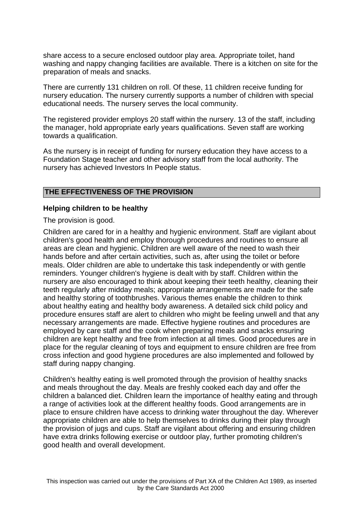share access to a secure enclosed outdoor play area. Appropriate toilet, hand washing and nappy changing facilities are available. There is a kitchen on site for the preparation of meals and snacks.

There are currently 131 children on roll. Of these, 11 children receive funding for nursery education. The nursery currently supports a number of children with special educational needs. The nursery serves the local community.

The registered provider employs 20 staff within the nursery. 13 of the staff, including the manager, hold appropriate early years qualifications. Seven staff are working towards a qualification.

As the nursery is in receipt of funding for nursery education they have access to a Foundation Stage teacher and other advisory staff from the local authority. The nursery has achieved Investors In People status.

#### **THE EFFECTIVENESS OF THE PROVISION**

#### **Helping children to be healthy**

The provision is good.

Children are cared for in a healthy and hygienic environment. Staff are vigilant about children's good health and employ thorough procedures and routines to ensure all areas are clean and hygienic. Children are well aware of the need to wash their hands before and after certain activities, such as, after using the toilet or before meals. Older children are able to undertake this task independently or with gentle reminders. Younger children's hygiene is dealt with by staff. Children within the nursery are also encouraged to think about keeping their teeth healthy, cleaning their teeth regularly after midday meals; appropriate arrangements are made for the safe and healthy storing of toothbrushes. Various themes enable the children to think about healthy eating and healthy body awareness. A detailed sick child policy and procedure ensures staff are alert to children who might be feeling unwell and that any necessary arrangements are made. Effective hygiene routines and procedures are employed by care staff and the cook when preparing meals and snacks ensuring children are kept healthy and free from infection at all times. Good procedures are in place for the regular cleaning of toys and equipment to ensure children are free from cross infection and good hygiene procedures are also implemented and followed by staff during nappy changing.

Children's healthy eating is well promoted through the provision of healthy snacks and meals throughout the day. Meals are freshly cooked each day and offer the children a balanced diet. Children learn the importance of healthy eating and through a range of activities look at the different healthy foods. Good arrangements are in place to ensure children have access to drinking water throughout the day. Wherever appropriate children are able to help themselves to drinks during their play through the provision of jugs and cups. Staff are vigilant about offering and ensuring children have extra drinks following exercise or outdoor play, further promoting children's good health and overall development.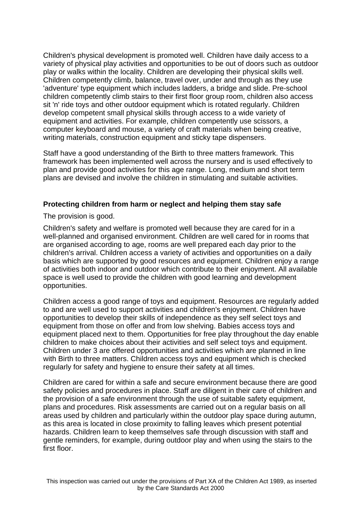Children's physical development is promoted well. Children have daily access to a variety of physical play activities and opportunities to be out of doors such as outdoor play or walks within the locality. Children are developing their physical skills well. Children competently climb, balance, travel over, under and through as they use 'adventure' type equipment which includes ladders, a bridge and slide. Pre-school children competently climb stairs to their first floor group room, children also access sit 'n' ride toys and other outdoor equipment which is rotated regularly. Children develop competent small physical skills through access to a wide variety of equipment and activities. For example, children competently use scissors, a computer keyboard and mouse, a variety of craft materials when being creative, writing materials, construction equipment and sticky tape dispensers.

Staff have a good understanding of the Birth to three matters framework. This framework has been implemented well across the nursery and is used effectively to plan and provide good activities for this age range. Long, medium and short term plans are devised and involve the children in stimulating and suitable activities.

## **Protecting children from harm or neglect and helping them stay safe**

The provision is good.

Children's safety and welfare is promoted well because they are cared for in a well-planned and organised environment. Children are well cared for in rooms that are organised according to age, rooms are well prepared each day prior to the children's arrival. Children access a variety of activities and opportunities on a daily basis which are supported by good resources and equipment. Children enjoy a range of activities both indoor and outdoor which contribute to their enjoyment. All available space is well used to provide the children with good learning and development opportunities.

Children access a good range of toys and equipment. Resources are regularly added to and are well used to support activities and children's enjoyment. Children have opportunities to develop their skills of independence as they self select toys and equipment from those on offer and from low shelving. Babies access toys and equipment placed next to them. Opportunities for free play throughout the day enable children to make choices about their activities and self select toys and equipment. Children under 3 are offered opportunities and activities which are planned in line with Birth to three matters. Children access toys and equipment which is checked regularly for safety and hygiene to ensure their safety at all times.

Children are cared for within a safe and secure environment because there are good safety policies and procedures in place. Staff are diligent in their care of children and the provision of a safe environment through the use of suitable safety equipment, plans and procedures. Risk assessments are carried out on a regular basis on all areas used by children and particularly within the outdoor play space during autumn, as this area is located in close proximity to falling leaves which present potential hazards. Children learn to keep themselves safe through discussion with staff and gentle reminders, for example, during outdoor play and when using the stairs to the first floor.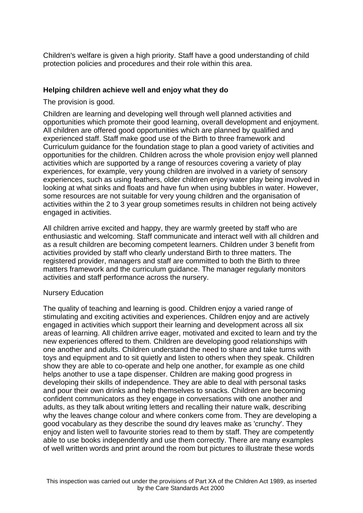Children's welfare is given a high priority. Staff have a good understanding of child protection policies and procedures and their role within this area.

## **Helping children achieve well and enjoy what they do**

The provision is good.

Children are learning and developing well through well planned activities and opportunities which promote their good learning, overall development and enjoyment. All children are offered good opportunities which are planned by qualified and experienced staff. Staff make good use of the Birth to three framework and Curriculum guidance for the foundation stage to plan a good variety of activities and opportunities for the children. Children across the whole provision enjoy well planned activities which are supported by a range of resources covering a variety of play experiences, for example, very young children are involved in a variety of sensory experiences, such as using feathers, older children enjoy water play being involved in looking at what sinks and floats and have fun when using bubbles in water. However, some resources are not suitable for very young children and the organisation of activities within the 2 to 3 year group sometimes results in children not being actively engaged in activities.

All children arrive excited and happy, they are warmly greeted by staff who are enthusiastic and welcoming. Staff communicate and interact well with all children and as a result children are becoming competent learners. Children under 3 benefit from activities provided by staff who clearly understand Birth to three matters. The registered provider, managers and staff are committed to both the Birth to three matters framework and the curriculum guidance. The manager regularly monitors activities and staff performance across the nursery.

## Nursery Education

The quality of teaching and learning is good. Children enjoy a varied range of stimulating and exciting activities and experiences. Children enjoy and are actively engaged in activities which support their learning and development across all six areas of learning. All children arrive eager, motivated and excited to learn and try the new experiences offered to them. Children are developing good relationships with one another and adults. Children understand the need to share and take turns with toys and equipment and to sit quietly and listen to others when they speak. Children show they are able to co-operate and help one another, for example as one child helps another to use a tape dispenser. Children are making good progress in developing their skills of independence. They are able to deal with personal tasks and pour their own drinks and help themselves to snacks. Children are becoming confident communicators as they engage in conversations with one another and adults, as they talk about writing letters and recalling their nature walk, describing why the leaves change colour and where conkers come from. They are developing a good vocabulary as they describe the sound dry leaves make as 'crunchy'. They enjoy and listen well to favourite stories read to them by staff. They are competently able to use books independently and use them correctly. There are many examples of well written words and print around the room but pictures to illustrate these words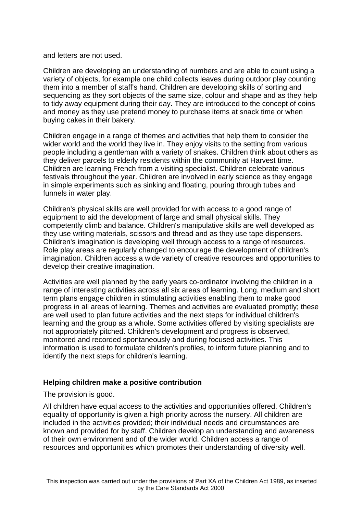#### and letters are not used.

Children are developing an understanding of numbers and are able to count using a variety of objects, for example one child collects leaves during outdoor play counting them into a member of staff's hand. Children are developing skills of sorting and sequencing as they sort objects of the same size, colour and shape and as they help to tidy away equipment during their day. They are introduced to the concept of coins and money as they use pretend money to purchase items at snack time or when buying cakes in their bakery.

Children engage in a range of themes and activities that help them to consider the wider world and the world they live in. They enjoy visits to the setting from various people including a gentleman with a variety of snakes. Children think about others as they deliver parcels to elderly residents within the community at Harvest time. Children are learning French from a visiting specialist. Children celebrate various festivals throughout the year. Children are involved in early science as they engage in simple experiments such as sinking and floating, pouring through tubes and funnels in water play.

Children's physical skills are well provided for with access to a good range of equipment to aid the development of large and small physical skills. They competently climb and balance. Children's manipulative skills are well developed as they use writing materials, scissors and thread and as they use tape dispensers. Children's imagination is developing well through access to a range of resources. Role play areas are regularly changed to encourage the development of children's imagination. Children access a wide variety of creative resources and opportunities to develop their creative imagination.

Activities are well planned by the early years co-ordinator involving the children in a range of interesting activities across all six areas of learning. Long, medium and short term plans engage children in stimulating activities enabling them to make good progress in all areas of learning. Themes and activities are evaluated promptly; these are well used to plan future activities and the next steps for individual children's learning and the group as a whole. Some activities offered by visiting specialists are not appropriately pitched. Children's development and progress is observed, monitored and recorded spontaneously and during focused activities. This information is used to formulate children's profiles, to inform future planning and to identify the next steps for children's learning.

## **Helping children make a positive contribution**

#### The provision is good.

All children have equal access to the activities and opportunities offered. Children's equality of opportunity is given a high priority across the nursery. All children are included in the activities provided; their individual needs and circumstances are known and provided for by staff. Children develop an understanding and awareness of their own environment and of the wider world. Children access a range of resources and opportunities which promotes their understanding of diversity well.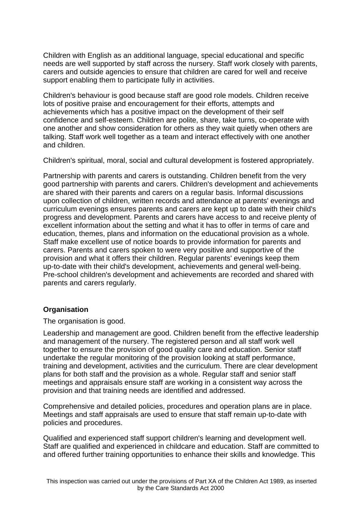Children with English as an additional language, special educational and specific needs are well supported by staff across the nursery. Staff work closely with parents, carers and outside agencies to ensure that children are cared for well and receive support enabling them to participate fully in activities.

Children's behaviour is good because staff are good role models. Children receive lots of positive praise and encouragement for their efforts, attempts and achievements which has a positive impact on the development of their self confidence and self-esteem. Children are polite, share, take turns, co-operate with one another and show consideration for others as they wait quietly when others are talking. Staff work well together as a team and interact effectively with one another and children.

Children's spiritual, moral, social and cultural development is fostered appropriately.

Partnership with parents and carers is outstanding. Children benefit from the very good partnership with parents and carers. Children's development and achievements are shared with their parents and carers on a regular basis. Informal discussions upon collection of children, written records and attendance at parents' evenings and curriculum evenings ensures parents and carers are kept up to date with their child's progress and development. Parents and carers have access to and receive plenty of excellent information about the setting and what it has to offer in terms of care and education, themes, plans and information on the educational provision as a whole. Staff make excellent use of notice boards to provide information for parents and carers. Parents and carers spoken to were very positive and supportive of the provision and what it offers their children. Regular parents' evenings keep them up-to-date with their child's development, achievements and general well-being. Pre-school children's development and achievements are recorded and shared with parents and carers regularly.

# **Organisation**

The organisation is good.

Leadership and management are good. Children benefit from the effective leadership and management of the nursery. The registered person and all staff work well together to ensure the provision of good quality care and education. Senior staff undertake the regular monitoring of the provision looking at staff performance, training and development, activities and the curriculum. There are clear development plans for both staff and the provision as a whole. Regular staff and senior staff meetings and appraisals ensure staff are working in a consistent way across the provision and that training needs are identified and addressed.

Comprehensive and detailed policies, procedures and operation plans are in place. Meetings and staff appraisals are used to ensure that staff remain up-to-date with policies and procedures.

Qualified and experienced staff support children's learning and development well. Staff are qualified and experienced in childcare and education. Staff are committed to and offered further training opportunities to enhance their skills and knowledge. This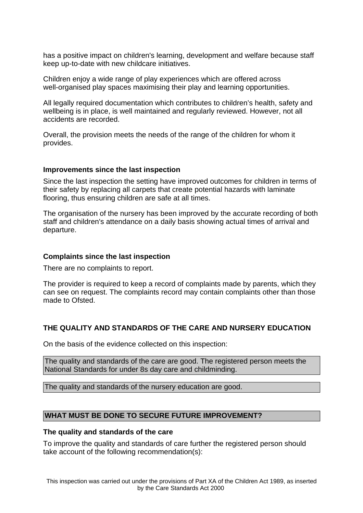has a positive impact on children's learning, development and welfare because staff keep up-to-date with new childcare initiatives.

Children enjoy a wide range of play experiences which are offered across well-organised play spaces maximising their play and learning opportunities.

All legally required documentation which contributes to children's health, safety and wellbeing is in place, is well maintained and regularly reviewed. However, not all accidents are recorded.

Overall, the provision meets the needs of the range of the children for whom it provides.

#### **Improvements since the last inspection**

Since the last inspection the setting have improved outcomes for children in terms of their safety by replacing all carpets that create potential hazards with laminate flooring, thus ensuring children are safe at all times.

The organisation of the nursery has been improved by the accurate recording of both staff and children's attendance on a daily basis showing actual times of arrival and departure.

#### **Complaints since the last inspection**

There are no complaints to report.

The provider is required to keep a record of complaints made by parents, which they can see on request. The complaints record may contain complaints other than those made to Ofsted.

## **THE QUALITY AND STANDARDS OF THE CARE AND NURSERY EDUCATION**

On the basis of the evidence collected on this inspection:

The quality and standards of the care are good. The registered person meets the National Standards for under 8s day care and childminding.

The quality and standards of the nursery education are good.

## **WHAT MUST BE DONE TO SECURE FUTURE IMPROVEMENT?**

#### **The quality and standards of the care**

To improve the quality and standards of care further the registered person should take account of the following recommendation(s):